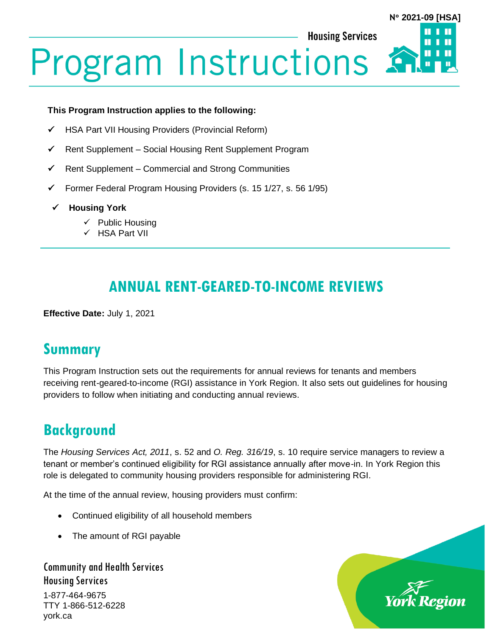**N 2021-09 [HSA]**

Ш

П

**Housing Services** 

# **Program Instructions**

#### **This Program Instruction applies to the following:**

- ✓ HSA Part VII Housing Providers (Provincial Reform)
- ✓ Rent Supplement Social Housing Rent Supplement Program
- ✓ Rent Supplement Commercial and Strong Communities
- ✓ Former Federal Program Housing Providers (s. 15 1/27, s. 56 1/95)
- ✓ **Housing York**
	- ✓ Public Housing
	- ✓ HSA Part VII

# **ANNUAL RENT-GEARED-TO-INCOME REVIEWS**

**Effective Date:** July 1, 2021

## **Summary**

This Program Instruction sets out the requirements for annual reviews for tenants and members receiving rent-geared-to-income (RGI) assistance in York Region. It also sets out guidelines for housing providers to follow when initiating and conducting annual reviews.

# **Background**

The *Housing Services Act, 2011*, s. 52 and *O. Reg. 316/19*, s. 10 require service managers to review a tenant or member's continued eligibility for RGI assistance annually after move-in. In York Region this role is delegated to community housing providers responsible for administering RGI.

At the time of the annual review, housing providers must confirm:

- Continued eligibility of all household members
- The amount of RGI payable

Community and Health Services Housing Services

1-877-464-9675 TTY 1-866-512-6228 york.ca

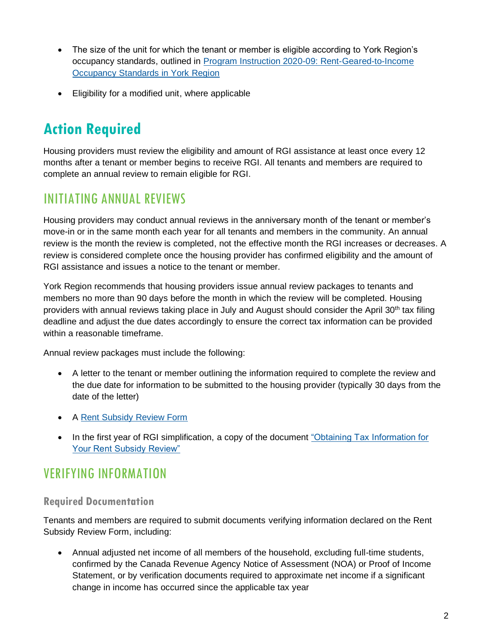- The size of the unit for which the tenant or member is eligible according to York Region's occupancy standards, outlined in [Program Instruction 2020-09: Rent-Geared-to-Income](https://www.york.ca/wps/wcm/connect/yorkpublic/c92fadab-cd91-4571-ad1f-499b38b7cf54/PI-2020-09-HSA-Rent-Geared-to-Income-Occupancy-Standards-in-York-Region.pdf?MOD=AJPERES&CVID=npNdVbc)  [Occupancy Standards in York Region](https://www.york.ca/wps/wcm/connect/yorkpublic/c92fadab-cd91-4571-ad1f-499b38b7cf54/PI-2020-09-HSA-Rent-Geared-to-Income-Occupancy-Standards-in-York-Region.pdf?MOD=AJPERES&CVID=npNdVbc)
- Eligibility for a modified unit, where applicable

# **Action Required**

Housing providers must review the eligibility and amount of RGI assistance at least once every 12 months after a tenant or member begins to receive RGI. All tenants and members are required to complete an annual review to remain eligible for RGI.

## INITIATING ANNUAL REVIEWS

Housing providers may conduct annual reviews in the anniversary month of the tenant or member's move-in or in the same month each year for all tenants and members in the community. An annual review is the month the review is completed, not the effective month the RGI increases or decreases. A review is considered complete once the housing provider has confirmed eligibility and the amount of RGI assistance and issues a notice to the tenant or member.

York Region recommends that housing providers issue annual review packages to tenants and members no more than 90 days before the month in which the review will be completed. Housing providers with annual reviews taking place in July and August should consider the April 30th tax filing deadline and adjust the due dates accordingly to ensure the correct tax information can be provided within a reasonable timeframe.

Annual review packages must include the following:

- A letter to the tenant or member outlining the information required to complete the review and the due date for information to be submitted to the housing provider (typically 30 days from the date of the letter)
- A [Rent Subsidy Review Form](https://www.york.ca/wps/wcm/connect/yorkpublic/a2b3d670-b1d5-4d19-a043-e465cf7e150c/RGI+I+Subsidy.pdf?MOD=AJPERES&CVID=mLV.UY9)
- In the first year of RGI simplification, a copy of the document "Obtaining Tax Information for [Your Rent Subsidy Review"](https://www.york.ca/wps/wcm/connect/yorkpublic/b3c5d791-602c-468e-847d-37777f9d9b96/How-to-obtain-a-Notice-of-Assessment-or-Proof-of-Income-Statement.PDF?MOD=AJPERES&CVID=nyJJxHO)

## VERIFYING INFORMATION

#### **Required Documentation**

Tenants and members are required to submit documents verifying information declared on the Rent Subsidy Review Form, including:

• Annual adjusted net income of all members of the household, excluding full-time students, confirmed by the Canada Revenue Agency Notice of Assessment (NOA) or Proof of Income Statement, or by verification documents required to approximate net income if a significant change in income has occurred since the applicable tax year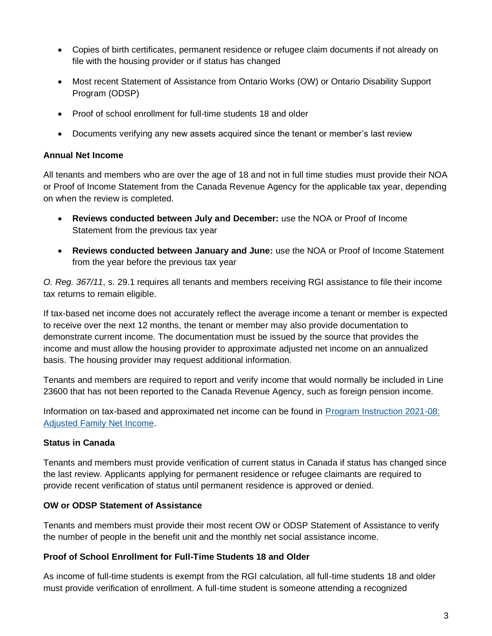- Copies of birth certificates, permanent residence or refugee claim documents if not already on file with the housing provider or if status has changed
- Most recent Statement of Assistance from Ontario Works (OW) or Ontario Disability Support Program (ODSP)
- Proof of school enrollment for full-time students 18 and older
- Documents verifying any new assets acquired since the tenant or member's last review

#### **Annual Net Income**

All tenants and members who are over the age of 18 and not in full time studies must provide their NOA or Proof of Income Statement from the Canada Revenue Agency for the applicable tax year, depending on when the review is completed.

- **Reviews conducted between July and December:** use the NOA or Proof of Income Statement from the previous tax year
- **Reviews conducted between January and June:** use the NOA or Proof of Income Statement from the year before the previous tax year

*O. Reg. 367/11*, s. 29.1 requires all tenants and members receiving RGI assistance to file their income tax returns to remain eligible.

If tax-based net income does not accurately reflect the average income a tenant or member is expected to receive over the next 12 months, the tenant or member may also provide documentation to demonstrate current income. The documentation must be issued by the source that provides the income and must allow the housing provider to approximate adjusted net income on an annualized basis. The housing provider may request additional information.

Tenants and members are required to report and verify income that would normally be included in Line 23600 that has not been reported to the Canada Revenue Agency, such as foreign pension income.

Information on tax-based and approximated net income can be found in [Program Instruction 2021-08:](https://www.york.ca/wps/wcm/connect/yorkpublic/e7376716-2f09-4a38-9bc5-1ce7bdcb2650/PI-2021-08-Adjusted-Family-Net-Income.pdf?MOD=AJPERES)  [Adjusted Family Net Income.](https://www.york.ca/wps/wcm/connect/yorkpublic/e7376716-2f09-4a38-9bc5-1ce7bdcb2650/PI-2021-08-Adjusted-Family-Net-Income.pdf?MOD=AJPERES)

#### **Status in Canada**

Tenants and members must provide verification of current status in Canada if status has changed since the last review. Applicants applying for permanent residence or refugee claimants are required to provide recent verification of status until permanent residence is approved or denied.

#### **OW or ODSP Statement of Assistance**

Tenants and members must provide their most recent OW or ODSP Statement of Assistance to verify the number of people in the benefit unit and the monthly net social assistance income.

#### **Proof of School Enrollment for Full-Time Students 18 and Older**

As income of full-time students is exempt from the RGI calculation, all full-time students 18 and older must provide verification of enrollment. A full-time student is someone attending a recognized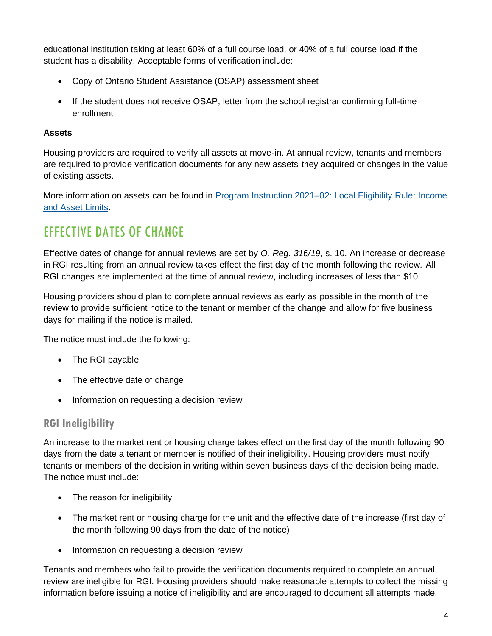educational institution taking at least 60% of a full course load, or 40% of a full course load if the student has a disability. Acceptable forms of verification include:

- Copy of Ontario Student Assistance (OSAP) assessment sheet
- If the student does not receive OSAP, letter from the school registrar confirming full-time enrollment

#### **Assets**

Housing providers are required to verify all assets at move-in. At annual review, tenants and members are required to provide verification documents for any new assets they acquired or changes in the value of existing assets.

More information on assets can be found in [Program Instruction 2021–02: Local Eligibility Rule: Income](https://www.york.ca/wps/wcm/connect/yorkpublic/fcad9dcb-520d-41d4-a5bf-054ae89badf8/PI-2021-02-Local-Eligibility-Rule-Income-and-Asset-Limits-HSA.pdf?MOD=AJPERES&CVID=nuHzJRL)  [and Asset Limits.](https://www.york.ca/wps/wcm/connect/yorkpublic/fcad9dcb-520d-41d4-a5bf-054ae89badf8/PI-2021-02-Local-Eligibility-Rule-Income-and-Asset-Limits-HSA.pdf?MOD=AJPERES&CVID=nuHzJRL)

## EFFECTIVE DATES OF CHANGE

Effective dates of change for annual reviews are set by *O. Reg. 316/19*, s. 10. An increase or decrease in RGI resulting from an annual review takes effect the first day of the month following the review. All RGI changes are implemented at the time of annual review, including increases of less than \$10.

Housing providers should plan to complete annual reviews as early as possible in the month of the review to provide sufficient notice to the tenant or member of the change and allow for five business days for mailing if the notice is mailed.

The notice must include the following:

- The RGI payable
- The effective date of change
- Information on requesting a decision review

#### **RGI Ineligibility**

An increase to the market rent or housing charge takes effect on the first day of the month following 90 days from the date a tenant or member is notified of their ineligibility. Housing providers must notify tenants or members of the decision in writing within seven business days of the decision being made. The notice must include:

- The reason for ineligibility
- The market rent or housing charge for the unit and the effective date of the increase (first day of the month following 90 days from the date of the notice)
- Information on requesting a decision review

Tenants and members who fail to provide the verification documents required to complete an annual review are ineligible for RGI. Housing providers should make reasonable attempts to collect the missing information before issuing a notice of ineligibility and are encouraged to document all attempts made.